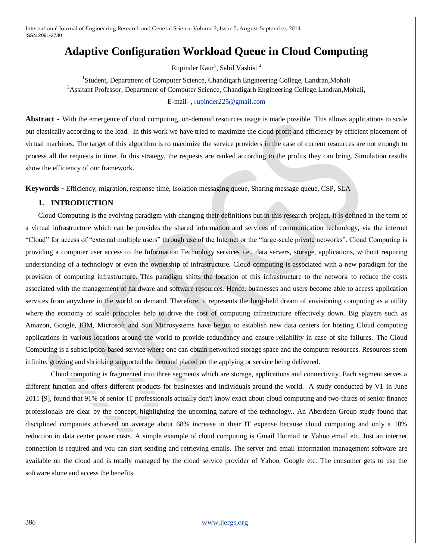# **Adaptive Configuration Workload Queue in Cloud Computing**

Rupinder Kaur<sup>1</sup>, Sahil Vashist<sup>2</sup>

<sup>1</sup> Student, Department of Computer Science, Chandigarh Engineering College, Landran, Mohali <sup>2</sup>Assitant Professor, Department of Computer Science, Chandigarh Engineering College, Landran, Mohali,

## E-mail- [, rupinder225@gmail.com](mailto:rupinder225@gmail.com)

Abstract **-** With the emergence of cloud computing, on-demand resources usage is made possible. This allows applications to scale out elastically according to the load. In this work we have tried to maximize the cloud profit and efficiency by efficient placement of virtual machines. The target of this algorithm is to maximize the service providers in the case of current resources are not enough to process all the requests in time. In this strategy, the requests are ranked according to the profits they can bring. Simulation results show the efficiency of our framework.

**Keywords** *-* Efficiency, migration, response time, Isolation messaging queue, Sharing message queue, CSP, SLA

### **1. INTRODUCTION**

Cloud Computing is the evolving paradigm with changing their definitions but in this research project, it is defined in the term of a virtual infrastructure which can be provides the shared information and services of communication technology, via the internet ―Cloud‖ for access of ―external multiple users‖ through use of the Internet or the ―large-scale private networks‖. Cloud Computing is providing a computer user access to the Information Technology services i.e., data servers, storage, applications, without requiring understanding of a technology or even the ownership of infrastructure. Cloud computing is associated with a new paradigm for the provision of computing infrastructure. This paradigm shifts the location of this infrastructure to the network to reduce the costs associated with the management of hardware and software resources. Hence, businesses and users become able to access application services from anywhere in the world on demand. Therefore, it represents the long-held dream of envisioning computing as a utility where the economy of scale principles help to drive the cost of computing infrastructure effectively down. Big players such as Amazon, Google, IBM, Microsoft and Sun Microsystems have begun to establish new data centers for hosting Cloud computing applications in various locations around the world to provide redundancy and ensure reliability in case of site failures. The Cloud Computing is a subscription-based service where one can obtain networked storage space and the computer resources. Resources seem infinite, growing and shrinking supported the demand placed on the applying or service being delivered.

Cloud computing is fragmented into three segments which are storage, applications and connectivity. Each segment serves a different function and offers different products for businesses and individuals around the world. A study conducted by V1 in June 2011 [9], found that 91% of senior IT professionals actually don't know exact about cloud computing and two-thirds of senior finance professionals are clear by the concept, highlighting the upcoming nature of the technology.. An Aberdeen Group study found that disciplined companies achieved on average about 68% increase in their IT expense because cloud computing and only a 10% reduction in data center power costs. A simple example of cloud computing is Gmail Hotmail or Yahoo email etc. Just an internet connection is required and you can start sending and retrieving emails. The server and email information management software are available on the cloud and is totally managed by the cloud service provider of Yahoo, Google etc. The consumer gets to use the software alone and access the benefits.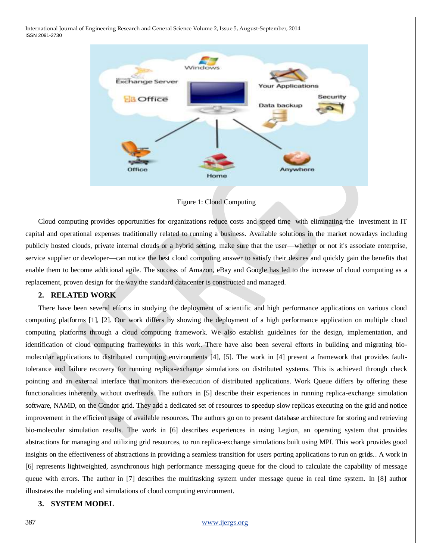

Figure 1: Cloud Computing

Cloud computing provides opportunities for organizations reduce costs and speed time with eliminating the investment in IT capital and operational expenses traditionally related to running a business. Available solutions in the market nowadays including publicly hosted clouds, private internal clouds or a hybrid setting, make sure that the user—whether or not it's associate enterprise, service supplier or developer—can notice the best cloud computing answer to satisfy their desires and quickly gain the benefits that enable them to become additional agile. The success of Amazon, eBay and Google has led to the increase of cloud computing as a replacement, proven design for the way the standard datacenter is constructed and managed.

## **2. RELATED WORK**

There have been several efforts in studying the deployment of scientific and high performance applications on various cloud computing platforms [1], [2]. Our work differs by showing the deployment of a high performance application on multiple cloud computing platforms through a cloud computing framework. We also establish guidelines for the design, implementation, and identification of cloud computing frameworks in this work. There have also been several efforts in building and migrating biomolecular applications to distributed computing environments [4], [5]. The work in [4] present a framework that provides faulttolerance and failure recovery for running replica-exchange simulations on distributed systems. This is achieved through check pointing and an external interface that monitors the execution of distributed applications. Work Queue differs by offering these functionalities inherently without overheads. The authors in [5] describe their experiences in running replica-exchange simulation software, NAMD, on the Condor grid. They add a dedicated set of resources to speedup slow replicas executing on the grid and notice improvement in the efficient usage of available resources. The authors go on to present database architecture for storing and retrieving bio-molecular simulation results. The work in [6] describes experiences in using Legion, an operating system that provides abstractions for managing and utilizing grid resources, to run replica-exchange simulations built using MPI. This work provides good insights on the effectiveness of abstractions in providing a seamless transition for users porting applications to run on grids.. A work in [6] represents lightweighted, asynchronous high performance messaging queue for the cloud to calculate the capability of message queue with errors. The author in [7] describes the multitasking system under message queue in real time system. In [8] author illustrates the modeling and simulations of cloud computing environment.

#### **3. SYSTEM MODEL**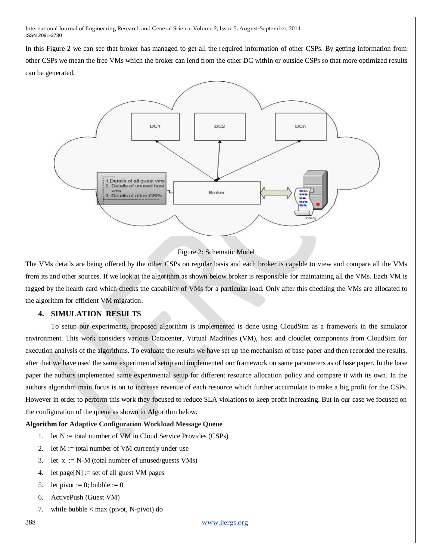In this Figure 2 we can see that broker has managed to get all the required information of other CSPs. By getting information from other CSPs we mean the free VMs which the broker can lend from the other DC within or outside CSPs so that more optimized results can be generated.



Figure 2: Schematic Model

The VMs details are being offered by the other CSPs on regular basis and each broker is capable to view and compare all the VMs from its and other sources. If we look at the algorithm as shown below broker is responsible for maintaining all the VMs. Each VM is tagged by the health card which checks the capability of VMs for a particular load. Only after this checking the VMs are allocated to the algorithm for efficient VM migration.

## **4. SIMULATION RESULTS**

To setup our experiments, proposed algorithm is implemented is done using CloudSim as a framework in the simulator environment. This work considers various Datacenter, Virtual Machines (VM), host and cloudlet components from CloudSim for execution analysis of the algorithms. To evaluate the results we have set up the mechanism of base paper and then recorded the results, after that we have used the same experimental setup and implemented our framework on same parameters as of base paper. In the base paper the authors implemented same experimental setup for different resource allocation policy and compare it with its own. In the authors algorithm main focus is on to increase revenue of each resource which further accumulate to make a big profit for the CSPs. However in order to perform this work they focused to reduce SLA violations to keep profit increasing. But in our case we focused on the configuration of the queue as shown in Algorithm below:

## **Algorithm for Adaptive Configuration Workload Message Queue**

- 1. let  $N :=$  total number of VM in Cloud Service Provides (CSPs)
- 2. let  $M :=$  total number of VM currently under use
- 3. let  $x := N-M$  (total number of unused/guests VMs)
- 4. let page[N] := set of all guest VM pages
- 5. let pivot := 0; bubble := 0
- 6. ActivePush (Guest VM)
- 7. while bubble < max (pivot, N-pivot) do

388 [www.ijergs.org](http://www.ijergs.org/)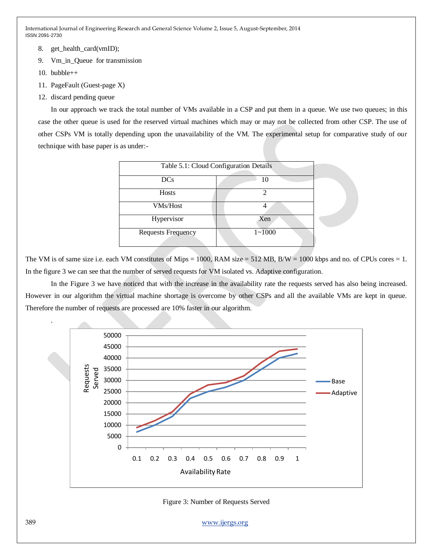- 8. get\_health\_card(vmID);
- 9. Vm\_in\_Queue for transmission
- 10. bubble $++$

.

- 11. PageFault (Guest-page X)
- 12. discard pending queue

In our approach we track the total number of VMs available in a CSP and put them in a queue. We use two queues; in this case the other queue is used for the reserved virtual machines which may or may not be collected from other CSP. The use of other CSPs VM is totally depending upon the unavailability of the VM. The experimental setup for comparative study of our technique with base paper is as under:-

| Table 5.1: Cloud Configuration Details |            |
|----------------------------------------|------------|
| DCs                                    | 10         |
| <b>Hosts</b>                           |            |
| VMs/Host                               |            |
| Hypervisor                             | Xen        |
| <b>Requests Frequency</b>              | $1 - 1000$ |

The VM is of same size i.e. each VM constitutes of Mips = 1000, RAM size = 512 MB, B/W = 1000 kbps and no. of CPUs cores = 1. In the figure 3 we can see that the number of served requests for VM isolated vs. Adaptive configuration.

In the Figure 3 we have noticed that with the increase in the availability rate the requests served has also being increased. However in our algorithm the virtual machine shortage is overcome by other CSPs and all the available VMs are kept in queue. Therefore the number of requests are processed are 10% faster in our algorithm.



Figure 3: Number of Requests Served

389 [www.ijergs.org](http://www.ijergs.org/)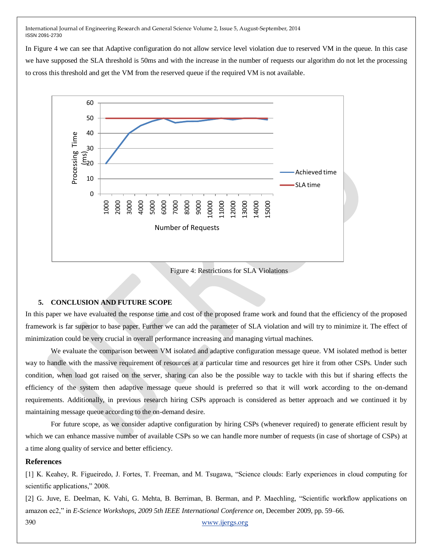In Figure 4 we can see that Adaptive configuration do not allow service level violation due to reserved VM in the queue. In this case we have supposed the SLA threshold is 50ms and with the increase in the number of requests our algorithm do not let the processing to cross this threshold and get the VM from the reserved queue if the required VM is not available.



Figure 4: Restrictions for SLA Violations

#### **5. CONCLUSION AND FUTURE SCOPE**

In this paper we have evaluated the response time and cost of the proposed frame work and found that the efficiency of the proposed framework is far superior to base paper. Further we can add the parameter of SLA violation and will try to minimize it. The effect of minimization could be very crucial in overall performance increasing and managing virtual machines.

We evaluate the comparison between VM isolated and adaptive configuration message queue. VM isolated method is better way to handle with the massive requirement of resources at a particular time and resources get hire it from other CSPs. Under such condition, when load got raised on the server, sharing can also be the possible way to tackle with this but if sharing effects the efficiency of the system then adaptive message queue should is preferred so that it will work according to the on-demand requirements. Additionally, in previous research hiring CSPs approach is considered as better approach and we continued it by maintaining message queue according to the on-demand desire.

For future scope, as we consider adaptive configuration by hiring CSPs (whenever required) to generate efficient result by which we can enhance massive number of available CSPs so we can handle more number of requests (in case of shortage of CSPs) at a time along quality of service and better efficiency.

#### **References**

[1] K. Keahey, R. Figueiredo, J. Fortes, T. Freeman, and M. Tsugawa, "Science clouds: Early experiences in cloud computing for scientific applications," 2008.

390 [www.ijergs.org](http://www.ijergs.org/) [2] G. Juve, E. Deelman, K. Vahi, G. Mehta, B. Berriman, B. Berman, and P. Maechling, "Scientific workflow applications on amazon ec2," in *E-Science Workshops, 2009 5th IEEE International Conference on*, December 2009, pp. 59–66.